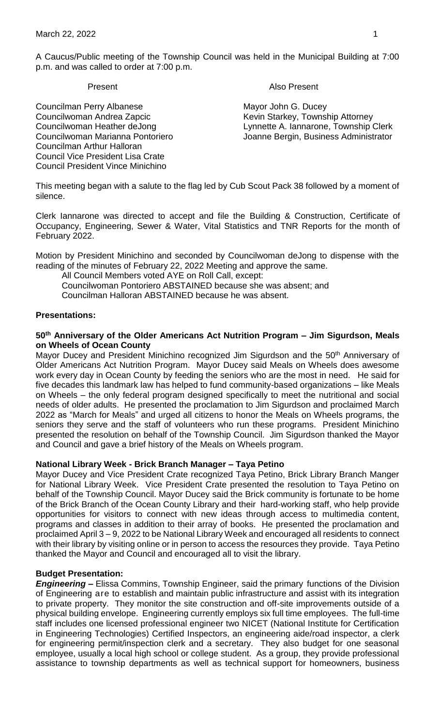A Caucus/Public meeting of the Township Council was held in the Municipal Building at 7:00 p.m. and was called to order at 7:00 p.m.

Present **Also Present** 

Councilwoman Heather deJong Lynnette A. Iannarone, Township Clerk Councilwoman Marianna Pontoriero Joanne Bergin, Business Administrator

Councilman Perry Albanese Mayor John G. Ducey Councilwoman Andrea Zapcic **Kevin Starkey, Township Attorney** Councilman Arthur Halloran Council Vice President Lisa Crate Council President Vince Minichino

This meeting began with a salute to the flag led by Cub Scout Pack 38 followed by a moment of silence.

Clerk Iannarone was directed to accept and file the Building & Construction, Certificate of Occupancy, Engineering, Sewer & Water, Vital Statistics and TNR Reports for the month of February 2022.

Motion by President Minichino and seconded by Councilwoman deJong to dispense with the reading of the minutes of February 22, 2022 Meeting and approve the same.

All Council Members voted AYE on Roll Call, except:

Councilwoman Pontoriero ABSTAINED because she was absent; and

Councilman Halloran ABSTAINED because he was absent.

#### **Presentations:**

#### **50th Anniversary of the Older Americans Act Nutrition Program – Jim Sigurdson, Meals on Wheels of Ocean County**

Mayor Ducey and President Minichino recognized Jim Sigurdson and the 50<sup>th</sup> Anniversary of Older Americans Act Nutrition Program. Mayor Ducey said Meals on Wheels does awesome work every day in Ocean County by feeding the seniors who are the most in need. He said for five decades this landmark law has helped to fund community-based organizations – like Meals on Wheels – the only federal program designed specifically to meet the nutritional and social needs of older adults. He presented the proclamation to Jim Sigurdson and proclaimed March 2022 as "March for Meals" and urged all citizens to honor the Meals on Wheels programs, the seniors they serve and the staff of volunteers who run these programs. President Minichino presented the resolution on behalf of the Township Council. Jim Sigurdson thanked the Mayor and Council and gave a brief history of the Meals on Wheels program.

#### **National Library Week - Brick Branch Manager – Taya Petino**

Mayor Ducey and Vice President Crate recognized Taya Petino, Brick Library Branch Manger for National Library Week. Vice President Crate presented the resolution to Taya Petino on behalf of the Township Council. Mayor Ducey said the Brick community is fortunate to be home of the Brick Branch of the Ocean County Library and their hard-working staff, who help provide opportunities for visitors to connect with new ideas through access to multimedia content, programs and classes in addition to their array of books. He presented the proclamation and proclaimed April 3 – 9, 2022 to be National Library Week and encouraged all residents to connect with their library by visiting online or in person to access the resources they provide. Taya Petino thanked the Mayor and Council and encouraged all to visit the library.

## **Budget Presentation:**

*Engineering –* Elissa Commins, Township Engineer, said the primary functions of the Division of Engineering are to establish and maintain public infrastructure and assist with its integration to private property. They monitor the site construction and off-site improvements outside of a physical building envelope. Engineering currently employs six full time employees. The full-time staff includes one licensed professional engineer two NICET (National Institute for Certification in Engineering Technologies) Certified Inspectors, an engineering aide/road inspector, a clerk for engineering permit/inspection clerk and a secretary. They also budget for one seasonal employee, usually a local high school or college student. As a group, they provide professional assistance to township departments as well as technical support for homeowners, business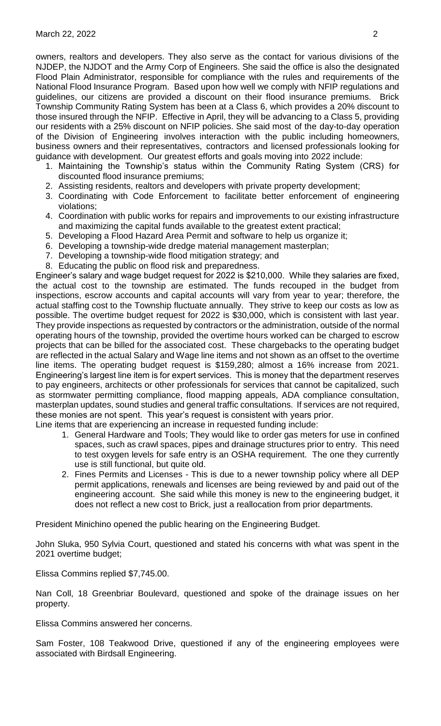owners, realtors and developers. They also serve as the contact for various divisions of the NJDEP, the NJDOT and the Army Corp of Engineers. She said the office is also the designated Flood Plain Administrator, responsible for compliance with the rules and requirements of the National Flood Insurance Program. Based upon how well we comply with NFIP regulations and guidelines, our citizens are provided a discount on their flood insurance premiums. Brick Township Community Rating System has been at a Class 6, which provides a 20% discount to those insured through the NFIP. Effective in April, they will be advancing to a Class 5, providing our residents with a 25% discount on NFIP policies. She said most of the day-to-day operation of the Division of Engineering involves interaction with the public including homeowners, business owners and their representatives, contractors and licensed professionals looking for guidance with development. Our greatest efforts and goals moving into 2022 include:

- 1. Maintaining the Township's status within the Community Rating System (CRS) for discounted flood insurance premiums;
- 2. Assisting residents, realtors and developers with private property development;
- 3. Coordinating with Code Enforcement to facilitate better enforcement of engineering violations;
- 4. Coordination with public works for repairs and improvements to our existing infrastructure and maximizing the capital funds available to the greatest extent practical;
- 5. Developing a Flood Hazard Area Permit and software to help us organize it;
- 6. Developing a township-wide dredge material management masterplan;
- 7. Developing a township-wide flood mitigation strategy; and
- 8. Educating the public on flood risk and preparedness.

Engineer's salary and wage budget request for 2022 is \$210,000. While they salaries are fixed, the actual cost to the township are estimated. The funds recouped in the budget from inspections, escrow accounts and capital accounts will vary from year to year; therefore, the actual staffing cost to the Township fluctuate annually. They strive to keep our costs as low as possible. The overtime budget request for 2022 is \$30,000, which is consistent with last year. They provide inspections as requested by contractors or the administration, outside of the normal operating hours of the township, provided the overtime hours worked can be charged to escrow projects that can be billed for the associated cost. These chargebacks to the operating budget are reflected in the actual Salary and Wage line items and not shown as an offset to the overtime line items. The operating budget request is \$159,280; almost a 16% increase from 2021. Engineering's largest line item is for expert services. This is money that the department reserves to pay engineers, architects or other professionals for services that cannot be capitalized, such as stormwater permitting compliance, flood mapping appeals, ADA compliance consultation, masterplan updates, sound studies and general traffic consultations. If services are not required, these monies are not spent. This year's request is consistent with years prior.

- Line items that are experiencing an increase in requested funding include:
	- 1. General Hardware and Tools; They would like to order gas meters for use in confined spaces, such as crawl spaces, pipes and drainage structures prior to entry. This need to test oxygen levels for safe entry is an OSHA requirement. The one they currently use is still functional, but quite old.
	- 2. Fines Permits and Licenses This is due to a newer township policy where all DEP permit applications, renewals and licenses are being reviewed by and paid out of the engineering account. She said while this money is new to the engineering budget, it does not reflect a new cost to Brick, just a reallocation from prior departments.

President Minichino opened the public hearing on the Engineering Budget.

John Sluka, 950 Sylvia Court, questioned and stated his concerns with what was spent in the 2021 overtime budget;

Elissa Commins replied \$7,745.00.

Nan Coll, 18 Greenbriar Boulevard, questioned and spoke of the drainage issues on her property.

Elissa Commins answered her concerns.

Sam Foster, 108 Teakwood Drive, questioned if any of the engineering employees were associated with Birdsall Engineering.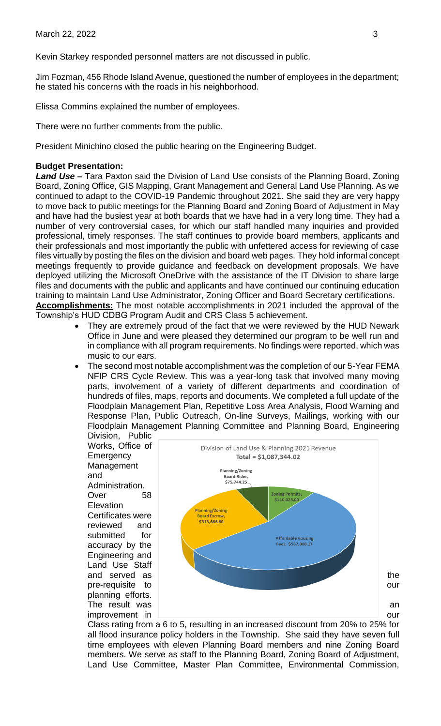Kevin Starkey responded personnel matters are not discussed in public.

Jim Fozman, 456 Rhode Island Avenue, questioned the number of employees in the department; he stated his concerns with the roads in his neighborhood.

Elissa Commins explained the number of employees.

There were no further comments from the public.

President Minichino closed the public hearing on the Engineering Budget.

#### **Budget Presentation:**

*Land Use –* Tara Paxton said the Division of Land Use consists of the Planning Board, Zoning Board, Zoning Office, GIS Mapping, Grant Management and General Land Use Planning. As we continued to adapt to the COVID-19 Pandemic throughout 2021. She said they are very happy to move back to public meetings for the Planning Board and Zoning Board of Adjustment in May and have had the busiest year at both boards that we have had in a very long time. They had a number of very controversial cases, for which our staff handled many inquiries and provided professional, timely responses. The staff continues to provide board members, applicants and their professionals and most importantly the public with unfettered access for reviewing of case files virtually by posting the files on the division and board web pages. They hold informal concept meetings frequently to provide guidance and feedback on development proposals. We have deployed utilizing the Microsoft OneDrive with the assistance of the IT Division to share large files and documents with the public and applicants and have continued our continuing education training to maintain Land Use Administrator, Zoning Officer and Board Secretary certifications. **Accomplishments:** The most notable accomplishments in 2021 included the approval of the

Township's HUD CDBG Program Audit and CRS Class 5 achievement.

- They are extremely proud of the fact that we were reviewed by the HUD Newark Office in June and were pleased they determined our program to be well run and in compliance with all program requirements. No findings were reported, which was music to our ears.
- The second most notable accomplishment was the completion of our 5-Year FEMA NFIP CRS Cycle Review. This was a year-long task that involved many moving parts, involvement of a variety of different departments and coordination of hundreds of files, maps, reports and documents. We completed a full update of the Floodplain Management Plan, Repetitive Loss Area Analysis, Flood Warning and Response Plan, Public Outreach, On-line Surveys, Mailings, working with our Floodplain Management Planning Committee and Planning Board, Engineering Division, Public

Works, Office of **Emergency** Management and Administration. Over 58 Elevation Certificates were reviewed and submitted for accuracy by the Engineering and Land Use Staff planning efforts.



Class rating from a 6 to 5, resulting in an increased discount from 20% to 25% for all flood insurance policy holders in the Township. She said they have seven full time employees with eleven Planning Board members and nine Zoning Board members. We serve as staff to the Planning Board, Zoning Board of Adjustment, Land Use Committee, Master Plan Committee, Environmental Commission,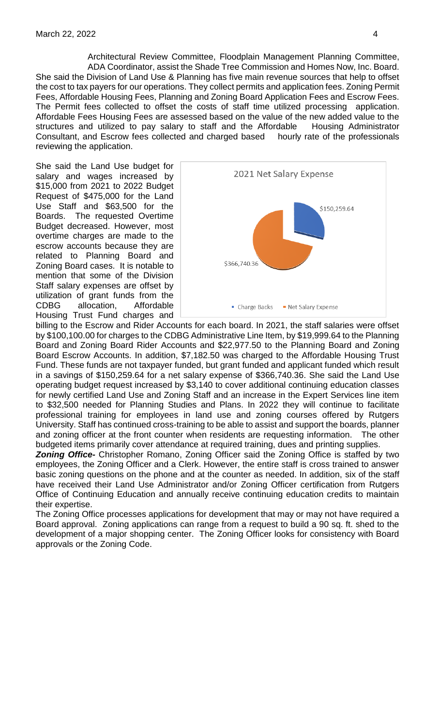Architectural Review Committee, Floodplain Management Planning Committee, ADA Coordinator, assist the Shade Tree Commission and Homes Now, Inc. Board. She said the Division of Land Use & Planning has five main revenue sources that help to offset the cost to tax payers for our operations. They collect permits and application fees. Zoning Permit Fees, Affordable Housing Fees, Planning and Zoning Board Application Fees and Escrow Fees. The Permit fees collected to offset the costs of staff time utilized processing application. Affordable Fees Housing Fees are assessed based on the value of the new added value to the structures and utilized to pay salary to staff and the Affordable Housing Administrator structures and utilized to pay salary to staff and the Affordable Consultant, and Escrow fees collected and charged based hourly rate of the professionals reviewing the application.

She said the Land Use budget for salary and wages increased by \$15,000 from 2021 to 2022 Budget Request of \$475,000 for the Land Use Staff and \$63,500 for the Boards. The requested Overtime Budget decreased. However, most overtime charges are made to the escrow accounts because they are related to Planning Board and Zoning Board cases. It is notable to mention that some of the Division Staff salary expenses are offset by utilization of grant funds from the CDBG allocation, Affordable Housing Trust Fund charges and



billing to the Escrow and Rider Accounts for each board. In 2021, the staff salaries were offset by \$100,100.00 for charges to the CDBG Administrative Line Item, by \$19,999.64 to the Planning Board and Zoning Board Rider Accounts and \$22,977.50 to the Planning Board and Zoning Board Escrow Accounts. In addition, \$7,182.50 was charged to the Affordable Housing Trust Fund. These funds are not taxpayer funded, but grant funded and applicant funded which result in a savings of \$150,259.64 for a net salary expense of \$366,740.36. She said the Land Use operating budget request increased by \$3,140 to cover additional continuing education classes for newly certified Land Use and Zoning Staff and an increase in the Expert Services line item to \$32,500 needed for Planning Studies and Plans. In 2022 they will continue to facilitate professional training for employees in land use and zoning courses offered by Rutgers University. Staff has continued cross-training to be able to assist and support the boards, planner and zoning officer at the front counter when residents are requesting information. The other budgeted items primarily cover attendance at required training, dues and printing supplies.

*Zoning Office-* Christopher Romano, Zoning Officer said the Zoning Office is staffed by two employees, the Zoning Officer and a Clerk. However, the entire staff is cross trained to answer basic zoning questions on the phone and at the counter as needed. In addition, six of the staff have received their Land Use Administrator and/or Zoning Officer certification from Rutgers Office of Continuing Education and annually receive continuing education credits to maintain their expertise.

The Zoning Office processes applications for development that may or may not have required a Board approval. Zoning applications can range from a request to build a 90 sq. ft. shed to the development of a major shopping center. The Zoning Officer looks for consistency with Board approvals or the Zoning Code.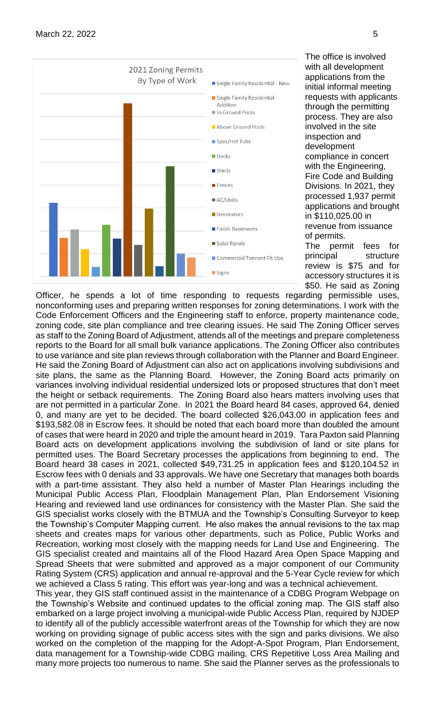

The office is involved with all development applications from the initial informal meeting requests with applicants through the permitting process. They are also involved in the site inspection and development compliance in concert with the Engineering, Fire Code and Building Divisions. In 2021, they processed 1,937 permit applications and brought in \$110,025.00 in revenue from issuance of permits. The permit fees for principal structure review is \$75 and for

accessory structures it is \$50. He said as Zoning

Officer, he spends a lot of time responding to requests regarding permissible uses, nonconforming uses and preparing written responses for zoning determinations. I work with the Code Enforcement Officers and the Engineering staff to enforce, property maintenance code, zoning code, site plan compliance and tree clearing issues. He said The Zoning Officer serves as staff to the Zoning Board of Adjustment, attends all of the meetings and prepare completeness reports to the Board for all small bulk variance applications. The Zoning Officer also contributes to use variance and site plan reviews through collaboration with the Planner and Board Engineer. He said the Zoning Board of Adjustment can also act on applications involving subdivisions and site plans, the same as the Planning Board. However, the Zoning Board acts primarily on variances involving individual residential undersized lots or proposed structures that don't meet the height or setback requirements. The Zoning Board also hears matters involving uses that are not permitted in a particular Zone. In 2021 the Board heard 84 cases, approved 64, denied 0, and many are yet to be decided. The board collected \$26,043.00 in application fees and \$193,582.08 in Escrow fees. It should be noted that each board more than doubled the amount of cases that were heard in 2020 and triple the amount heard in 2019. Tara Paxton said Planning Board acts on development applications involving the subdivision of land or site plans for permitted uses. The Board Secretary processes the applications from beginning to end. The Board heard 38 cases in 2021, collected \$49,731.25 in application fees and \$120,104.52 in Escrow fees with 0 denials and 33 approvals. We have one Secretary that manages both boards with a part-time assistant. They also held a number of Master Plan Hearings including the Municipal Public Access Plan, Floodplain Management Plan, Plan Endorsement Visioning Hearing and reviewed land use ordinances for consistency with the Master Plan. She said the GIS specialist works closely with the BTMUA and the Township's Consulting Surveyor to keep the Township's Computer Mapping current. He also makes the annual revisions to the tax map sheets and creates maps for various other departments, such as Police, Public Works and Recreation, working most closely with the mapping needs for Land Use and Engineering. The GIS specialist created and maintains all of the Flood Hazard Area Open Space Mapping and Spread Sheets that were submitted and approved as a major component of our Community Rating System (CRS) application and annual re-approval and the 5-Year Cycle review for which we achieved a Class 5 rating. This effort was year-long and was a technical achievement.

This year, they GIS staff continued assist in the maintenance of a CDBG Program Webpage on the Township's Website and continued updates to the official zoning map. The GIS staff also embarked on a large project involving a municipal-wide Public Access Plan, required by NJDEP to identify all of the publicly accessible waterfront areas of the Township for which they are now working on providing signage of public access sites with the sign and parks divisions. We also worked on the completion of the mapping for the Adopt-A-Spot Program, Plan Endorsement, data management for a Township-wide CDBG mailing, CRS Repetitive Loss Area Mailing and many more projects too numerous to name. She said the Planner serves as the professionals to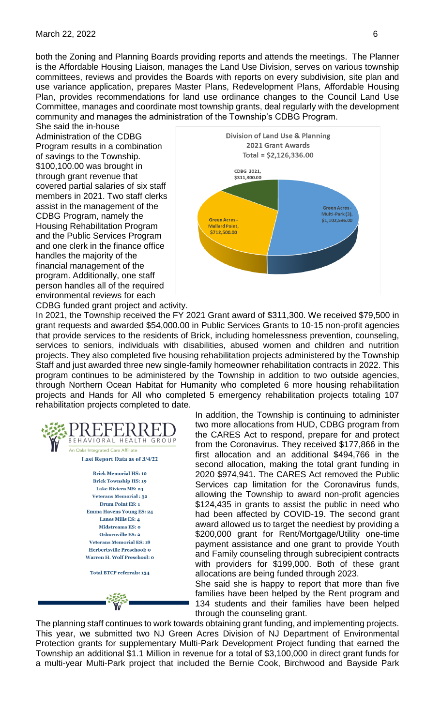#### March 22, 2022 6

both the Zoning and Planning Boards providing reports and attends the meetings. The Planner is the Affordable Housing Liaison, manages the Land Use Division, serves on various township committees, reviews and provides the Boards with reports on every subdivision, site plan and use variance application, prepares Master Plans, Redevelopment Plans, Affordable Housing Plan, provides recommendations for land use ordinance changes to the Council Land Use Committee, manages and coordinate most township grants, deal regularly with the development community and manages the administration of the Township's CDBG Program.

She said the in-house Administration of the CDBG Program results in a combination of savings to the Township. \$100,100.00 was brought in through grant revenue that covered partial salaries of six staff members in 2021. Two staff clerks assist in the management of the CDBG Program, namely the Housing Rehabilitation Program and the Public Services Program and one clerk in the finance office handles the majority of the financial management of the program. Additionally, one staff person handles all of the required environmental reviews for each CDBG funded grant project and activity.



In 2021, the Township received the FY 2021 Grant award of \$311,300. We received \$79,500 in grant requests and awarded \$54,000.00 in Public Services Grants to 10-15 non-profit agencies that provide services to the residents of Brick, including homelessness prevention, counseling, services to seniors, individuals with disabilities, abused women and children and nutrition projects. They also completed five housing rehabilitation projects administered by the Township Staff and just awarded three new single-family homeowner rehabilitation contracts in 2022. This program continues to be administered by the Township in addition to two outside agencies, through Northern Ocean Habitat for Humanity who completed 6 more housing rehabilitation projects and Hands for All who completed 5 emergency rehabilitation projects totaling 107 rehabilitation projects completed to date.



In addition, the Township is continuing to administer two more allocations from HUD, CDBG program from the CARES Act to respond, prepare for and protect from the Coronavirus. They received \$177,866 in the first allocation and an additional \$494,766 in the second allocation, making the total grant funding in 2020 \$974,941. The CARES Act removed the Public Services cap limitation for the Coronavirus funds, allowing the Township to award non-profit agencies \$124,435 in grants to assist the public in need who had been affected by COVID-19. The second grant award allowed us to target the neediest by providing a \$200,000 grant for Rent/Mortgage/Utility one-time payment assistance and one grant to provide Youth and Family counseling through subrecipient contracts with providers for \$199,000. Both of these grant allocations are being funded through 2023.

She said she is happy to report that more than five families have been helped by the Rent program and 134 students and their families have been helped through the counseling grant.

The planning staff continues to work towards obtaining grant funding, and implementing projects. This year, we submitted two NJ Green Acres Division of NJ Department of Environmental Protection grants for supplementary Multi-Park Development Project funding that earned the Township an additional \$1.1 Million in revenue for a total of \$3,100,000 in direct grant funds for a multi-year Multi-Park project that included the Bernie Cook, Birchwood and Bayside Park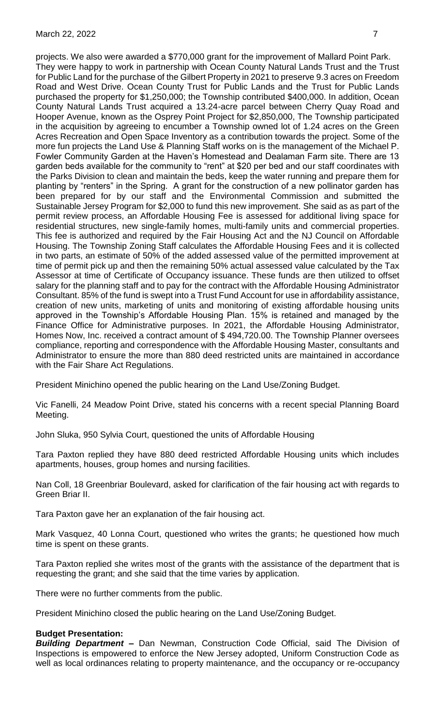projects. We also were awarded a \$770,000 grant for the improvement of Mallard Point Park. They were happy to work in partnership with Ocean County Natural Lands Trust and the Trust for Public Land for the purchase of the Gilbert Property in 2021 to preserve 9.3 acres on Freedom Road and West Drive. Ocean County Trust for Public Lands and the Trust for Public Lands purchased the property for \$1,250,000; the Township contributed \$400,000. In addition, Ocean County Natural Lands Trust acquired a 13.24-acre parcel between Cherry Quay Road and Hooper Avenue, known as the Osprey Point Project for \$2,850,000, The Township participated in the acquisition by agreeing to encumber a Township owned lot of 1.24 acres on the Green Acres Recreation and Open Space Inventory as a contribution towards the project. Some of the more fun projects the Land Use & Planning Staff works on is the management of the Michael P. Fowler Community Garden at the Haven's Homestead and Dealaman Farm site. There are 13 garden beds available for the community to "rent" at \$20 per bed and our staff coordinates with the Parks Division to clean and maintain the beds, keep the water running and prepare them for planting by "renters" in the Spring. A grant for the construction of a new pollinator garden has been prepared for by our staff and the Environmental Commission and submitted the Sustainable Jersey Program for \$2,000 to fund this new improvement. She said as as part of the permit review process, an Affordable Housing Fee is assessed for additional living space for residential structures, new single-family homes, multi-family units and commercial properties. This fee is authorized and required by the Fair Housing Act and the NJ Council on Affordable Housing. The Township Zoning Staff calculates the Affordable Housing Fees and it is collected in two parts, an estimate of 50% of the added assessed value of the permitted improvement at time of permit pick up and then the remaining 50% actual assessed value calculated by the Tax Assessor at time of Certificate of Occupancy issuance. These funds are then utilized to offset salary for the planning staff and to pay for the contract with the Affordable Housing Administrator Consultant. 85% of the fund is swept into a Trust Fund Account for use in affordability assistance, creation of new units, marketing of units and monitoring of existing affordable housing units approved in the Township's Affordable Housing Plan. 15% is retained and managed by the Finance Office for Administrative purposes. In 2021, the Affordable Housing Administrator, Homes Now, Inc. received a contract amount of \$ 494,720.00. The Township Planner oversees compliance, reporting and correspondence with the Affordable Housing Master, consultants and Administrator to ensure the more than 880 deed restricted units are maintained in accordance with the Fair Share Act Regulations.

President Minichino opened the public hearing on the Land Use/Zoning Budget.

Vic Fanelli, 24 Meadow Point Drive, stated his concerns with a recent special Planning Board Meeting.

John Sluka, 950 Sylvia Court, questioned the units of Affordable Housing

Tara Paxton replied they have 880 deed restricted Affordable Housing units which includes apartments, houses, group homes and nursing facilities.

Nan Coll, 18 Greenbriar Boulevard, asked for clarification of the fair housing act with regards to Green Briar II.

Tara Paxton gave her an explanation of the fair housing act.

Mark Vasquez, 40 Lonna Court, questioned who writes the grants; he questioned how much time is spent on these grants.

Tara Paxton replied she writes most of the grants with the assistance of the department that is requesting the grant; and she said that the time varies by application.

There were no further comments from the public.

President Minichino closed the public hearing on the Land Use/Zoning Budget.

#### **Budget Presentation:**

*Building Department –* Dan Newman, Construction Code Official, said The Division of Inspections is empowered to enforce the New Jersey adopted, Uniform Construction Code as well as local ordinances relating to property maintenance, and the occupancy or re-occupancy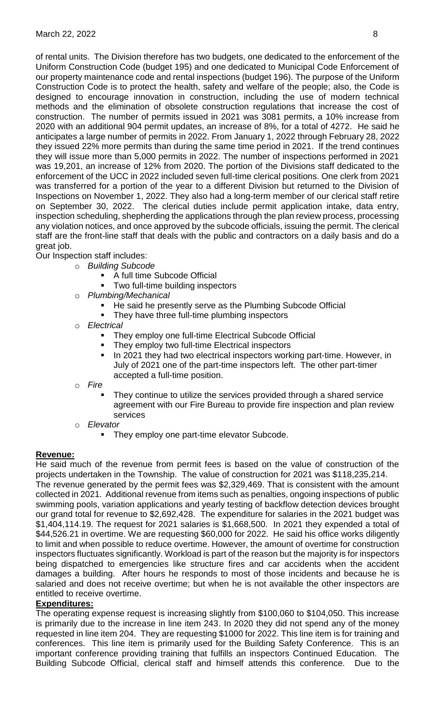of rental units. The Division therefore has two budgets, one dedicated to the enforcement of the Uniform Construction Code (budget 195) and one dedicated to Municipal Code Enforcement of our property maintenance code and rental inspections (budget 196). The purpose of the Uniform Construction Code is to protect the health, safety and welfare of the people; also, the Code is designed to encourage innovation in construction, including the use of modern technical methods and the elimination of obsolete construction regulations that increase the cost of construction. The number of permits issued in 2021 was 3081 permits, a 10% increase from 2020 with an additional 904 permit updates, an increase of 8%, for a total of 4272. He said he anticipates a large number of permits in 2022. From January 1, 2022 through February 28, 2022 they issued 22% more permits than during the same time period in 2021. If the trend continues they will issue more than 5,000 permits in 2022. The number of inspections performed in 2021 was 19,201, an increase of 12% from 2020. The portion of the Divisions staff dedicated to the enforcement of the UCC in 2022 included seven full-time clerical positions. One clerk from 2021 was transferred for a portion of the year to a different Division but returned to the Division of Inspections on November 1, 2022. They also had a long-term member of our clerical staff retire on September 30, 2022. The clerical duties include permit application intake, data entry, inspection scheduling, shepherding the applications through the plan review process, processing any violation notices, and once approved by the subcode officials, issuing the permit. The clerical staff are the front-line staff that deals with the public and contractors on a daily basis and do a great job.

Our Inspection staff includes:

- o *Building Subcode* 
	- A full time Subcode Official
	- Two full-time building inspectors
- o *Plumbing/Mechanical*
	- He said he presently serve as the Plumbing Subcode Official
	- They have three full-time plumbing inspectors
- o *Electrical*
	- They employ one full-time Electrical Subcode Official
	- They employ two full-time Electrical inspectors
	- In 2021 they had two electrical inspectors working part-time. However, in July of 2021 one of the part-time inspectors left. The other part-timer accepted a full-time position.
- o *Fire* 
	- They continue to utilize the services provided through a shared service agreement with our Fire Bureau to provide fire inspection and plan review services
- o *Elevator* 
	- They employ one part-time elevator Subcode.

# **Revenue:**

He said much of the revenue from permit fees is based on the value of construction of the projects undertaken in the Township. The value of construction for 2021 was \$118,235,214. The revenue generated by the permit fees was \$2,329,469. That is consistent with the amount collected in 2021. Additional revenue from items such as penalties, ongoing inspections of public swimming pools, variation applications and yearly testing of backflow detection devices brought our grand total for revenue to \$2,692,428. The expenditure for salaries in the 2021 budget was \$1,404,114.19. The request for 2021 salaries is \$1,668,500. In 2021 they expended a total of \$44,526.21 in overtime. We are requesting \$60,000 for 2022. He said his office works diligently to limit and when possible to reduce overtime. However, the amount of overtime for construction inspectors fluctuates significantly. Workload is part of the reason but the majority is for inspectors being dispatched to emergencies like structure fires and car accidents when the accident damages a building. After hours he responds to most of those incidents and because he is salaried and does not receive overtime; but when he is not available the other inspectors are entitled to receive overtime.

# **Expenditures:**

The operating expense request is increasing slightly from \$100,060 to \$104,050. This increase is primarily due to the increase in line item 243. In 2020 they did not spend any of the money requested in line item 204. They are requesting \$1000 for 2022. This line item is for training and conferences. This line item is primarily used for the Building Safety Conference. This is an important conference providing training that fulfills an inspectors Continued Education. The Building Subcode Official, clerical staff and himself attends this conference. Due to the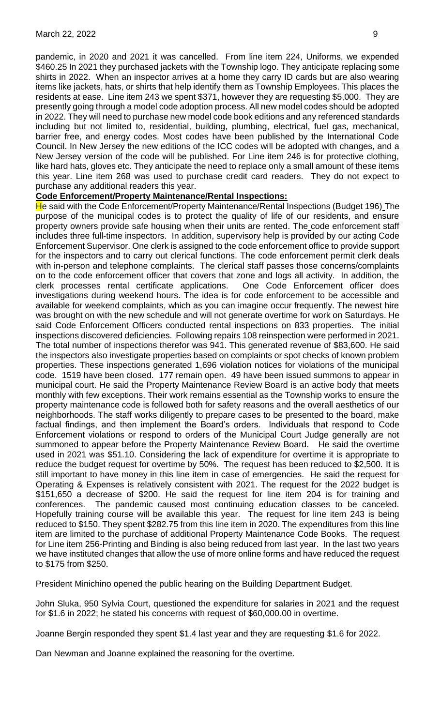pandemic, in 2020 and 2021 it was cancelled. From line item 224, Uniforms, we expended \$460.25 In 2021 they purchased jackets with the Township logo. They anticipate replacing some shirts in 2022. When an inspector arrives at a home they carry ID cards but are also wearing items like jackets, hats, or shirts that help identify them as Township Employees. This places the residents at ease. Line item 243 we spent \$371, however they are requesting \$5,000. They are presently going through a model code adoption process. All new model codes should be adopted in 2022. They will need to purchase new model code book editions and any referenced standards including but not limited to, residential, building, plumbing, electrical, fuel gas, mechanical, barrier free, and energy codes. Most codes have been published by the International Code Council. In New Jersey the new editions of the ICC codes will be adopted with changes, and a New Jersey version of the code will be published. For Line item 246 is for protective clothing, like hard hats, gloves etc. They anticipate the need to replace only a small amount of these items this year. Line item 268 was used to purchase credit card readers. They do not expect to purchase any additional readers this year.

#### **Code Enforcement/Property Maintenance/Rental Inspections:**

He said with the Code Enforcement/Property Maintenance/Rental Inspections (Budget 196) The purpose of the municipal codes is to protect the quality of life of our residents, and ensure property owners provide safe housing when their units are rented. The code enforcement staff includes three full-time inspectors. In addition, supervisory help is provided by our acting Code Enforcement Supervisor. One clerk is assigned to the code enforcement office to provide support for the inspectors and to carry out clerical functions. The code enforcement permit clerk deals with in-person and telephone complaints. The clerical staff passes those concerns/complaints on to the code enforcement officer that covers that zone and logs all activity. In addition, the clerk processes rental certificate applications. One Code Enforcement officer does investigations during weekend hours. The idea is for code enforcement to be accessible and available for weekend complaints, which as you can imagine occur frequently. The newest hire was brought on with the new schedule and will not generate overtime for work on Saturdays. He said Code Enforcement Officers conducted rental inspections on 833 properties. The initial inspections discovered deficiencies. Following repairs 108 reinspection were performed in 2021. The total number of inspections therefor was 941. This generated revenue of \$83,600. He said the inspectors also investigate properties based on complaints or spot checks of known problem properties. These inspections generated 1,696 violation notices for violations of the municipal code. 1519 have been closed. 177 remain open. 49 have been issued summons to appear in municipal court. He said the Property Maintenance Review Board is an active body that meets monthly with few exceptions. Their work remains essential as the Township works to ensure the property maintenance code is followed both for safety reasons and the overall aesthetics of our neighborhoods. The staff works diligently to prepare cases to be presented to the board, make factual findings, and then implement the Board's orders. Individuals that respond to Code Enforcement violations or respond to orders of the Municipal Court Judge generally are not summoned to appear before the Property Maintenance Review Board. He said the overtime used in 2021 was \$51.10. Considering the lack of expenditure for overtime it is appropriate to reduce the budget request for overtime by 50%. The request has been reduced to \$2,500. It is still important to have money in this line item in case of emergencies. He said the request for Operating & Expenses is relatively consistent with 2021. The request for the 2022 budget is \$151,650 a decrease of \$200. He said the request for line item 204 is for training and conferences. The pandemic caused most continuing education classes to be canceled. Hopefully training course will be available this year. The request for line item 243 is being reduced to \$150. They spent \$282.75 from this line item in 2020. The expenditures from this line item are limited to the purchase of additional Property Maintenance Code Books. The request for Line item 256-Printing and Binding is also being reduced from last year. In the last two years we have instituted changes that allow the use of more online forms and have reduced the request to \$175 from \$250.

President Minichino opened the public hearing on the Building Department Budget.

John Sluka, 950 Sylvia Court, questioned the expenditure for salaries in 2021 and the request for \$1.6 in 2022; he stated his concerns with request of \$60,000.00 in overtime.

Joanne Bergin responded they spent \$1.4 last year and they are requesting \$1.6 for 2022.

Dan Newman and Joanne explained the reasoning for the overtime.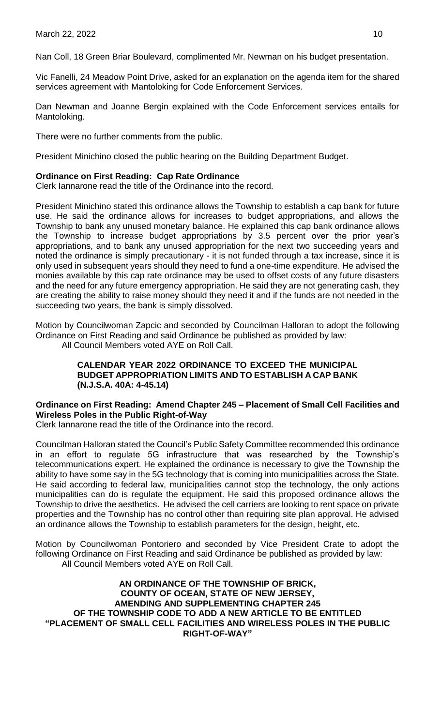Nan Coll, 18 Green Briar Boulevard, complimented Mr. Newman on his budget presentation.

Vic Fanelli, 24 Meadow Point Drive, asked for an explanation on the agenda item for the shared services agreement with Mantoloking for Code Enforcement Services.

Dan Newman and Joanne Bergin explained with the Code Enforcement services entails for Mantoloking.

There were no further comments from the public.

President Minichino closed the public hearing on the Building Department Budget.

#### **Ordinance on First Reading: Cap Rate Ordinance**

Clerk Iannarone read the title of the Ordinance into the record.

President Minichino stated this ordinance allows the Township to establish a cap bank for future use. He said the ordinance allows for increases to budget appropriations, and allows the Township to bank any unused monetary balance. He explained this cap bank ordinance allows the Township to increase budget appropriations by 3.5 percent over the prior year's appropriations, and to bank any unused appropriation for the next two succeeding years and noted the ordinance is simply precautionary - it is not funded through a tax increase, since it is only used in subsequent years should they need to fund a one-time expenditure. He advised the monies available by this cap rate ordinance may be used to offset costs of any future disasters and the need for any future emergency appropriation. He said they are not generating cash, they are creating the ability to raise money should they need it and if the funds are not needed in the succeeding two years, the bank is simply dissolved.

Motion by Councilwoman Zapcic and seconded by Councilman Halloran to adopt the following Ordinance on First Reading and said Ordinance be published as provided by law: All Council Members voted AYE on Roll Call.

#### **CALENDAR YEAR 2022 ORDINANCE TO EXCEED THE MUNICIPAL BUDGET APPROPRIATION LIMITS AND TO ESTABLISH A CAP BANK (N.J.S.A. 40A: 4-45.14)**

# **Ordinance on First Reading: Amend Chapter 245 – Placement of Small Cell Facilities and Wireless Poles in the Public Right-of-Way**

Clerk Iannarone read the title of the Ordinance into the record.

Councilman Halloran stated the Council's Public Safety Committee recommended this ordinance in an effort to regulate 5G infrastructure that was researched by the Township's telecommunications expert. He explained the ordinance is necessary to give the Township the ability to have some say in the 5G technology that is coming into municipalities across the State. He said according to federal law, municipalities cannot stop the technology, the only actions municipalities can do is regulate the equipment. He said this proposed ordinance allows the Township to drive the aesthetics. He advised the cell carriers are looking to rent space on private properties and the Township has no control other than requiring site plan approval. He advised an ordinance allows the Township to establish parameters for the design, height, etc.

Motion by Councilwoman Pontoriero and seconded by Vice President Crate to adopt the following Ordinance on First Reading and said Ordinance be published as provided by law: All Council Members voted AYE on Roll Call.

**AN ORDINANCE OF THE TOWNSHIP OF BRICK, COUNTY OF OCEAN, STATE OF NEW JERSEY, AMENDING AND SUPPLEMENTING CHAPTER 245 OF THE TOWNSHIP CODE TO ADD A NEW ARTICLE TO BE ENTITLED "PLACEMENT OF SMALL CELL FACILITIES AND WIRELESS POLES IN THE PUBLIC RIGHT-OF-WAY"**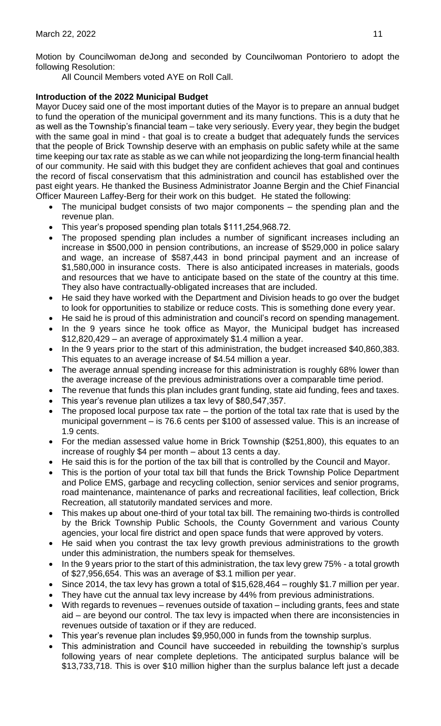Motion by Councilwoman deJong and seconded by Councilwoman Pontoriero to adopt the following Resolution:

All Council Members voted AYE on Roll Call.

# **Introduction of the 2022 Municipal Budget**

Mayor Ducey said one of the most important duties of the Mayor is to prepare an annual budget to fund the operation of the municipal government and its many functions. This is a duty that he as well as the Township's financial team – take very seriously. Every year, they begin the budget with the same goal in mind - that goal is to create a budget that adequately funds the services that the people of Brick Township deserve with an emphasis on public safety while at the same time keeping our tax rate as stable as we can while not jeopardizing the long-term financial health of our community. He said with this budget they are confident achieves that goal and continues the record of fiscal conservatism that this administration and council has established over the past eight years. He thanked the Business Administrator Joanne Bergin and the Chief Financial Officer Maureen Laffey-Berg for their work on this budget. He stated the following:

- The municipal budget consists of two major components  $-$  the spending plan and the revenue plan.
- This year's proposed spending plan totals \$111,254,968.72.
- The proposed spending plan includes a number of significant increases including an increase in \$500,000 in pension contributions, an increase of \$529,000 in police salary and wage, an increase of \$587,443 in bond principal payment and an increase of \$1,580,000 in insurance costs. There is also anticipated increases in materials, goods and resources that we have to anticipate based on the state of the country at this time. They also have contractually-obligated increases that are included.
- He said they have worked with the Department and Division heads to go over the budget to look for opportunities to stabilize or reduce costs. This is something done every year.
- He said he is proud of this administration and council's record on spending management.
- In the 9 years since he took office as Mayor, the Municipal budget has increased \$12,820,429 – an average of approximately \$1.4 million a year.
- In the 9 years prior to the start of this administration, the budget increased \$40,860,383. This equates to an average increase of \$4.54 million a year.
- The average annual spending increase for this administration is roughly 68% lower than the average increase of the previous administrations over a comparable time period.
- The revenue that funds this plan includes grant funding, state aid funding, fees and taxes.
- This year's revenue plan utilizes a tax levy of \$80,547,357.
- The proposed local purpose tax rate  $-$  the portion of the total tax rate that is used by the municipal government – is 76.6 cents per \$100 of assessed value. This is an increase of 1.9 cents.
- For the median assessed value home in Brick Township (\$251,800), this equates to an increase of roughly \$4 per month – about 13 cents a day.
- He said this is for the portion of the tax bill that is controlled by the Council and Mayor.
- This is the portion of your total tax bill that funds the Brick Township Police Department and Police EMS, garbage and recycling collection, senior services and senior programs, road maintenance, maintenance of parks and recreational facilities, leaf collection, Brick Recreation, all statutorily mandated services and more.
- This makes up about one-third of your total tax bill. The remaining two-thirds is controlled by the Brick Township Public Schools, the County Government and various County agencies, your local fire district and open space funds that were approved by voters.
- He said when you contrast the tax levy growth previous administrations to the growth under this administration, the numbers speak for themselves.
- In the 9 years prior to the start of this administration, the tax levy grew 75% a total growth of \$27,956,654. This was an average of \$3.1 million per year.
- Since 2014, the tax levy has grown a total of \$15,628,464 roughly \$1.7 million per year.
- They have cut the annual tax levy increase by 44% from previous administrations.
- With regards to revenues revenues outside of taxation including grants, fees and state aid – are beyond our control. The tax levy is impacted when there are inconsistencies in revenues outside of taxation or if they are reduced.
- This year's revenue plan includes \$9,950,000 in funds from the township surplus.
- This administration and Council have succeeded in rebuilding the township's surplus following years of near complete depletions. The anticipated surplus balance will be \$13,733,718. This is over \$10 million higher than the surplus balance left just a decade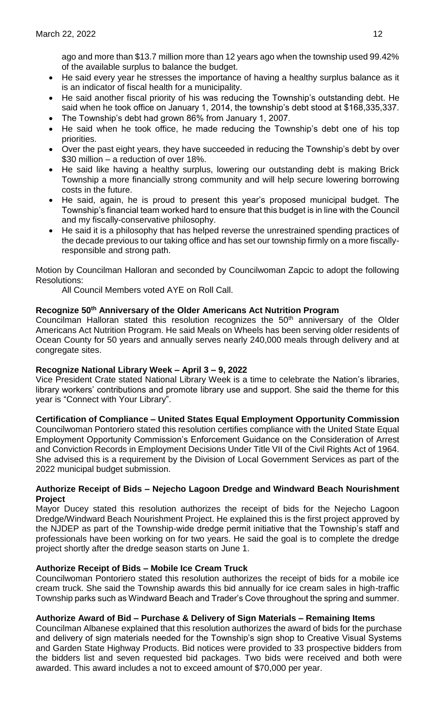ago and more than \$13.7 million more than 12 years ago when the township used 99.42% of the available surplus to balance the budget.

- He said every year he stresses the importance of having a healthy surplus balance as it is an indicator of fiscal health for a municipality.
- He said another fiscal priority of his was reducing the Township's outstanding debt. He said when he took office on January 1, 2014, the township's debt stood at \$168,335,337.
- The Township's debt had grown 86% from January 1, 2007.
- He said when he took office, he made reducing the Township's debt one of his top priorities.
- Over the past eight years, they have succeeded in reducing the Township's debt by over \$30 million – a reduction of over 18%.
- He said like having a healthy surplus, lowering our outstanding debt is making Brick Township a more financially strong community and will help secure lowering borrowing costs in the future.
- He said, again, he is proud to present this year's proposed municipal budget. The Township's financial team worked hard to ensure that this budget is in line with the Council and my fiscally-conservative philosophy.
- He said it is a philosophy that has helped reverse the unrestrained spending practices of the decade previous to our taking office and has set our township firmly on a more fiscallyresponsible and strong path.

Motion by Councilman Halloran and seconded by Councilwoman Zapcic to adopt the following Resolutions:

All Council Members voted AYE on Roll Call.

# **Recognize 50th Anniversary of the Older Americans Act Nutrition Program**

Councilman Halloran stated this resolution recognizes the 50<sup>th</sup> anniversary of the Older Americans Act Nutrition Program. He said Meals on Wheels has been serving older residents of Ocean County for 50 years and annually serves nearly 240,000 meals through delivery and at congregate sites.

## **Recognize National Library Week – April 3 – 9, 2022**

Vice President Crate stated National Library Week is a time to celebrate the Nation's libraries, library workers' contributions and promote library use and support. She said the theme for this year is "Connect with Your Library".

## **Certification of Compliance – United States Equal Employment Opportunity Commission**

Councilwoman Pontoriero stated this resolution certifies compliance with the United State Equal Employment Opportunity Commission's Enforcement Guidance on the Consideration of Arrest and Conviction Records in Employment Decisions Under Title VII of the Civil Rights Act of 1964. She advised this is a requirement by the Division of Local Government Services as part of the 2022 municipal budget submission.

#### **Authorize Receipt of Bids – Nejecho Lagoon Dredge and Windward Beach Nourishment Project**

Mayor Ducey stated this resolution authorizes the receipt of bids for the Nejecho Lagoon Dredge/Windward Beach Nourishment Project. He explained this is the first project approved by the NJDEP as part of the Township-wide dredge permit initiative that the Township's staff and professionals have been working on for two years. He said the goal is to complete the dredge project shortly after the dredge season starts on June 1.

## **Authorize Receipt of Bids – Mobile Ice Cream Truck**

Councilwoman Pontoriero stated this resolution authorizes the receipt of bids for a mobile ice cream truck. She said the Township awards this bid annually for ice cream sales in high-traffic Township parks such as Windward Beach and Trader's Cove throughout the spring and summer.

## **Authorize Award of Bid – Purchase & Delivery of Sign Materials – Remaining Items**

Councilman Albanese explained that this resolution authorizes the award of bids for the purchase and delivery of sign materials needed for the Township's sign shop to Creative Visual Systems and Garden State Highway Products. Bid notices were provided to 33 prospective bidders from the bidders list and seven requested bid packages. Two bids were received and both were awarded. This award includes a not to exceed amount of \$70,000 per year.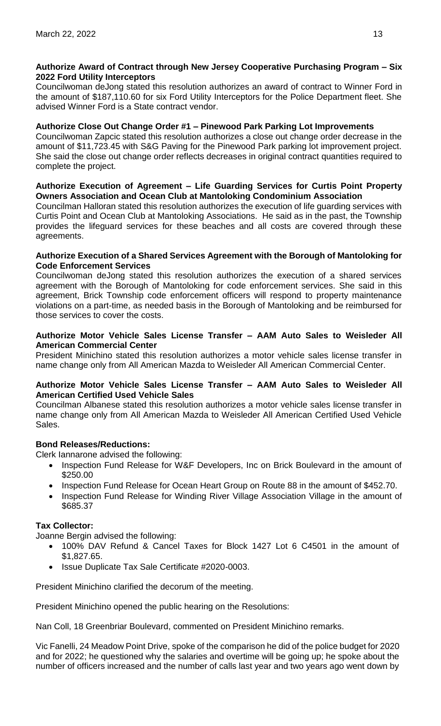# **Authorize Award of Contract through New Jersey Cooperative Purchasing Program – Six 2022 Ford Utility Interceptors**

Councilwoman deJong stated this resolution authorizes an award of contract to Winner Ford in the amount of \$187,110.60 for six Ford Utility Interceptors for the Police Department fleet. She advised Winner Ford is a State contract vendor.

# **Authorize Close Out Change Order #1 – Pinewood Park Parking Lot Improvements**

Councilwoman Zapcic stated this resolution authorizes a close out change order decrease in the amount of \$11,723.45 with S&G Paving for the Pinewood Park parking lot improvement project. She said the close out change order reflects decreases in original contract quantities required to complete the project.

### **Authorize Execution of Agreement – Life Guarding Services for Curtis Point Property Owners Association and Ocean Club at Mantoloking Condominium Association**

Councilman Halloran stated this resolution authorizes the execution of life guarding services with Curtis Point and Ocean Club at Mantoloking Associations. He said as in the past, the Township provides the lifeguard services for these beaches and all costs are covered through these agreements.

#### **Authorize Execution of a Shared Services Agreement with the Borough of Mantoloking for Code Enforcement Services**

Councilwoman deJong stated this resolution authorizes the execution of a shared services agreement with the Borough of Mantoloking for code enforcement services. She said in this agreement, Brick Township code enforcement officers will respond to property maintenance violations on a part-time, as needed basis in the Borough of Mantoloking and be reimbursed for those services to cover the costs.

### **Authorize Motor Vehicle Sales License Transfer – AAM Auto Sales to Weisleder All American Commercial Center**

President Minichino stated this resolution authorizes a motor vehicle sales license transfer in name change only from All American Mazda to Weisleder All American Commercial Center.

## **Authorize Motor Vehicle Sales License Transfer – AAM Auto Sales to Weisleder All American Certified Used Vehicle Sales**

Councilman Albanese stated this resolution authorizes a motor vehicle sales license transfer in name change only from All American Mazda to Weisleder All American Certified Used Vehicle Sales.

# **Bond Releases/Reductions:**

Clerk Iannarone advised the following:

- Inspection Fund Release for W&F Developers, Inc on Brick Boulevard in the amount of \$250.00
- Inspection Fund Release for Ocean Heart Group on Route 88 in the amount of \$452.70.
- Inspection Fund Release for Winding River Village Association Village in the amount of \$685.37

## **Tax Collector:**

Joanne Bergin advised the following:

- 100% DAV Refund & Cancel Taxes for Block 1427 Lot 6 C4501 in the amount of \$1,827.65.
- Issue Duplicate Tax Sale Certificate #2020-0003.

President Minichino clarified the decorum of the meeting.

President Minichino opened the public hearing on the Resolutions:

Nan Coll, 18 Greenbriar Boulevard, commented on President Minichino remarks.

Vic Fanelli, 24 Meadow Point Drive, spoke of the comparison he did of the police budget for 2020 and for 2022; he questioned why the salaries and overtime will be going up; he spoke about the number of officers increased and the number of calls last year and two years ago went down by